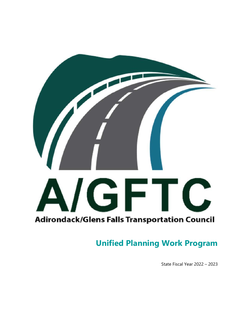

# **Unified Planning Work Program**

State Fiscal Year 2022 – 2023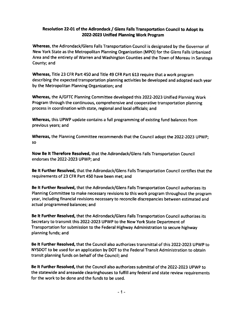### Resolution 22-01 of the Adirondack / Glens Falls Transportation Council to Adopt its 2022-2023 Unified Planning Work Program

Whereas, the Adirondack/Glens Falls Transportation Council is designated by the Governor of New York State as the Metropolitan Planning Organization (MPO) for the Glens Falls Urbanized Area and the entirety of Warren and Washington Counties and the Town of Moreau in Saratoga County; and

Whereas, Title 23 CFR Part 450 and Title 49 CFR Part 613 require that a work program describing the expected transportation planning activities be developed and adopted each year by the Metropolitan Planning Organization; and

Whereas, the A/GFTC Planning Committee developed this 2022-2023 Unified Planning Work Program through the continuous, comprehensive and cooperative transportation planning process in coordination with state, regional and local officials; and

Whereas, this UPWP update contains a full programming of existing fund balances from previous years: and

Whereas, the Planning Committee recommends that the Council adopt the 2022-2023 UPWP; **SO** 

Now Be It Therefore Resolved, that the Adirondack/Glens Falls Transportation Council endorses the 2022-2023 UPWP; and

Be It Further Resolved, that the Adirondack/Glens Falls Transportation Council certifies that the requirements of 23 CFR Part 450 have been met; and

Be It Further Resolved, that the Adirondack/Glens Falls Transportation Council authorizes its Planning Committee to make necessary revisions to this work program throughout the program year, including financial revisions necessary to reconcile discrepancies between estimated and actual programmed balances; and

Be It Further Resolved, that the Adirondack/Glens Falls Transportation Council authorizes its Secretary to transmit this 2022-2023 UPWP to the New York State Department of Transportation for submission to the Federal Highway Administration to secure highway planning funds; and

Be It Further Resolved, that the Council also authorizes transmittal of this 2022-2023 UPWP to NYSDOT to be used for an application by DOT to the Federal Transit Administration to obtain transit planning funds on behalf of the Council; and

Be It Further Resolved, that the Council also authorizes submittal of the 2022-2023 UPWP to the statewide and areawide clearinghouses to fulfill any federal and state review requirements for the work to be done and the funds to be used.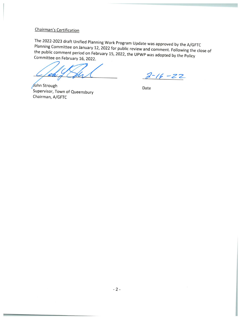# Chairman's Certification

The 2022-2023 draft Unified Planning Work Program Update was approved by the A/GFTC Planning Committee on January 12, 2022 for public review and comment. Following the close of the public comment period on February 15, 2022, the UPWP was adopted by the Policy Committee on February 16, 2022.

 $2 - 16 - 22$ 

John Strough Supervisor, Town of Queensbury Chairman, A/GFTC

Date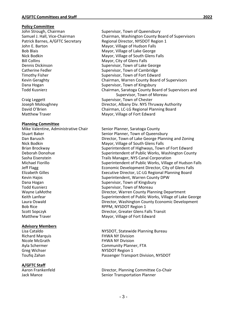### **Policy Committee**

John E. Barton **Mayor, Village of Hudson Falls** Bob Blais Mayor, Village of Lake George Bill Collins **Bill Collins Example 20** Mayor, City of Glens Falls Dennis Dickinson **Digest Contract Contract Contract Contract Contract Contract Contract Contract Contract Contract Contract Contract Contract Contract Contract Contract Contract Contract Contract Contract Contract Contract** Catherine Fedler **Catherine Fedler Exercise Supervisor**, Town of Cambridge Timothy Fisher **Supervisor**, Town of Fort Edward Dana Hogan Supervisor, Town of Kingsbury

### **Planning Committee**

Mike Valentine, Administrative Chair Senior Planner, Saratoga County Nick Bodkin **Mayor**, Village of South Glens Falls Dana Hogan Supervisor, Town of Kingsbury Todd Kusnierz Supervisor, Town of Moreau Bob Rice RPPM, NYSDOT Region 1 Scott Sopczyk Director, Greater Glens Falls Transit Matthew Traver **Matthew Traver Edward** Mayor, Village of Fort Edward

### **Advisory Members**

### **A/GFTC Staff**

John Strough, Chairman Supervisor, Town of Queensbury Samuel J. Hall, Vice‐Chairman Chairman, Washington County Board of Supervisors Patrick Barnes, A/GFTC Secretary Regional Director, NYSDOT Region 1 Mayor, Village of South Glens Falls Kevin Geraghty *Chairman, Warren County Board of Supervisors* Todd Kusnierz Chairman, Saratoga County Board of Supervisors and Supervisor, Town of Moreau<br>
Supervisor, Town of Chester<br>
Supervisor, Town of Chester Supervisor, Town of Chester Joseph Moloughney Director, Albany Div. NYS Thruway Authority David O'Brien Chairman, LC‐LG Regional Planning Board Matthew Traver **Matthew Traver Edward** Mayor, Village of Fort Edward

Stuart Baker Senior Planner, Town of Queensbury Dan Barusch **Director, Town of Lake George Planning and Zoning** Brian Brockway **Superintendent of Highways, Town of Fort Edward** Deborah Donohue *Superintendent of Public Works, Washington County* Sasha Eisenstein Trails Manager, NYS Canal Corporation Michael Fiorillo Superintendent of Public Works, Village of Hudson Falls Jeff Flagg Economic Development Director, City of Glens Falls Elizabeth Gilles Executive Director, LC‐LG Regional Planning Board Kevin Hajos **Martin Liberaldens** Superintendent, Warren County DPW Wayne LaMothe *Director, Warren County Planning Department* Keith Lanfear **Superintendent of Public Works, Village of Lake George** Superintendent of Public Works, Village of Lake George Laura Oswald Director, Washington County Economic Development

Lisa Cataldo NYSDOT, Statewide Planning Bureau Richard Marquis **Base Contract Contract Contract Contract Contract Contract Contract Contract Contract Contract Contract Contract Contract Contract Contract Contract Contract Contract Contract Contract Contract Contract Co** Nicole McGrath FHWA NY Division Ayla Schermer **Internal Community Planner**, FTA Greg Wichser **Calculation COVER 1 COVER 1 COVER 1 COVER 1 COVER 1 COVER** 1 Toufiq Zahan Passenger Transport Division, NYSDOT

Aaron Frankenfeld Director, Planning Committee Co‐Chair Jack Mance **Transportation Planner** Senior Transportation Planner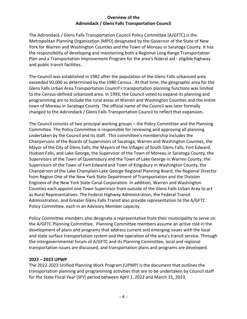### **Overview of the Adirondack / Glens Falls Transportation Council**

The Adirondack / Glens Falls Transportation Council Policy Committee (A/GFTC) is the Metropolitan Planning Organization (MPO) designated by the Governor of the State of New York for Warren and Washington Counties and the Town of Moreau in Saratoga County. It has the responsibility of developing and maintaining both a Regional Long Range Transportation Plan and a Transportation Improvement Program for the area's federal aid ‐ eligible highway and public transit facilities.

The Council was established in 1982 after the population of the Glens Falls urbanized area exceeded 50,000 as determined by the 1980 Census. At that time, the geographic area for the Glens Falls Urban Area Transportation Council's transportation planning functions was limited to the Census‐defined urbanized area. In 1993, the Council voted to expand its planning and programming are to include the rural areas of Warren and Washington Counties and the entire town of Moreau in Saratoga County. The official name of the Council was later formally changed to the Adirondack / Glens Falls Transportation Council to reflect that expansion**.**

The Council consists of two principal working groups – the Policy Committee and the Planning Committee. The Policy Committee is responsible for reviewing and approving all planning undertaken by the Council and its staff. This committee's membership includes the Chairpersons of the Boards of Supervisors of Saratoga, Warren and Washington Counties, the Mayor of the City of Glens Falls, the Mayors of the Villages of South Glens Falls, Fort Edward, Hudson Falls, and Lake George, the Supervisor of the Town of Moreau in Saratoga County, the Supervisors of the Town of Queensbury and the Town of Lake George in Warren County, the Supervisors of the Town of Fort Edward and Town of Kingsbury in Washington County, the Chairperson of the Lake Champlain‐Lake George Regional Planning Board, the Regional Director from Region One of the New York State Department of Transportation and the Division Engineer of the New York State Canal Corporation. In addition, Warren and Washington Counties each appoint one Town Supervisor from outside of the Glens Falls Urban Area to act as Rural Representatives. The Federal Highway Administration, the Federal Transit Administration, and Greater Glens Falls Transit also provide representation to the A/GFTC Policy Committee, each in an Advisory Member capacity.

Policy Committee members also designate a representative from their municipality to serve on the A/GFTC Planning Committee. Planning Committee members assume an active role in the development of plans and programs that address current and emerging issues with the local and state surface transportation system and the operation of the area's transit service. Through the intergovernmental forum of A/GFTC and its Planning Committee, local and regional transportation issues are discussed, and transportation plans and programs are developed.

### **2022 – 2023 UPWP**

The 2022‐2023 Unified Planning Work Program (UPWP) is the document that outlines the transportation planning and programming activities that are to be undertaken by Council staff for the State Fiscal Year (SFY) period between April 1, 2022 and March 31, 2023.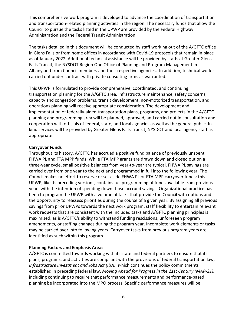This comprehensive work program is developed to advance the coordination of transportation and transportation‐related planning activities in the region. The necessary funds that allow the Council to pursue the tasks listed in the UPWP are provided by the Federal Highway Administration and the Federal Transit Administration.

The tasks detailed in this document will be conducted by staff working out of the A/GFTC office in Glens Falls or from home offices in accordance with Covid‐19 protocols that remain in place as of January 2022. Additional technical assistance will be provided by staffs at Greater Glens Falls Transit, the NYSDOT Region One Office of Planning and Program Management in Albany,and from Council members and their respective agencies. In addition, technical work is carried out under contract with private consulting firms as warranted.

This UPWP is formulated to provide comprehensive, coordinated, and continuing transportation planning for the A/GFTC area. Infrastructure maintenance, safety concerns, capacity and congestion problems, transit development, non‐motorized transportation, and operations planning will receive appropriate consideration. The development and implementation of federally‐aided transportation plans, programs, and projects in the A/GFTC planning and programming area will be planned, approved, and carried out in consultation and cooperation with officials of federal, state, and local agencies as well as the general public. In‐ kind services will be provided by Greater Glens Falls Transit, NYSDOT and local agency staff as appropriate.

### **Carryover Funds**

Throughout its history, A/GFTC has accrued a positive fund balance of previously unspent FHWA PL and FTA MPP funds. While FTA MPP grants are drawn down and closed out on a three‐year cycle, small positive balances from year‐to‐year are typical. FHWA PL savings are carried over from one year to the next and programmed in full into the following year. The Council makes no effort to reserve or set aside FHWA PL or FTA MPP carryover funds; this UPWP, like its preceding versions, contains full programming of funds available from previous years with the intention of spending down those accrued savings. Organizational practice has been to program the UPWP with a volume of tasks that provide the Council with options and the opportunity to reassess priorities during the course of a given year. By assigning all previous savings from prior UPWPs towards the next work program, staff flexibility to entertain relevant work requests that are consistent with the included tasks and A/GFTC planning principles is maximized, as is A/GFTC's ability to withstand funding rescissions, unforeseen program amendments, or staffing changes during the program year. Incomplete work elements or tasks may be carried over into following years. Carryover tasks from previous program years are identified as such within this program.

### **Planning Factors and Emphasis Areas**

A/GFTC is committed towards working with its state and federal partners to ensure that its plans, programs, and activities are compliant with the provisions of federal transportation law, *Infrastructure Investment and Jobs Act (IIJA), w*hich continues the policy commitments established in preceding federal law, *Moving Ahead for Progress in the 21st Century (MAP‐21),*  including continuing to require that performance measurements and performance‐based planning be incorporated into the MPO process. Specific performance measures will be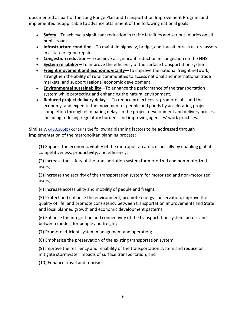documented as part of the Long Range Plan and Transportation Improvement Program and implemented as applicable to advance attainment of the following national goals:

- **Safety**—To achieve a significant reduction in traffic fatalities and serious injuries on all public roads.
- **Infrastructure condition**—To maintain highway, bridge, and transit infrastructure assets in a state of good repair.
- **Congestion reduction**—To achieve a significant reduction in congestion on the NHS.
- **System reliability**—To improve the efficiency of the surface transportation system.
- **Freight movement and economic vitality**—To improve the national freight network, strengthen the ability of rural communities to access national and international trade markets, and support regional economic development.
- **Environmental sustainability**—To enhance the performance of the transportation system while protecting and enhancing the natural environment.
- **Reduced project delivery delays**—To reduce project costs, promote jobs and the economy, and expedite the movement of people and goods by accelerating project completion through eliminating delays in the project development and delivery process, including reducing regulatory burdens and improving agencies' work practices.

Similarly, §450.306(b) contains the following planning factors to be addressed through implementation of the metropolitan planning process:

(1) Support the economic vitality of the metropolitan area, especially by enabling global competitiveness, productivity, and efficiency;

(2) Increase the safety of the transportation system for motorized and non‐motorized users;

(3) Increase the security of the transportation system for motorized and non‐motorized users;

(4) Increase accessibility and mobility of people and freight;

(5) Protect and enhance the environment, promote energy conservation, improve the quality of life, and promote consistency between transportation improvements and State and local planned growth and economic development patterns;

(6) Enhance the integration and connectivity of the transportation system, across and between modes, for people and freight;

(7) Promote efficient system management and operation;

(8) Emphasize the preservation of the existing transportation system;

(9) Improve the resiliency and reliability of the transportation system and reduce or mitigate stormwater impacts of surface transportation; and

(10) Enhance travel and tourism.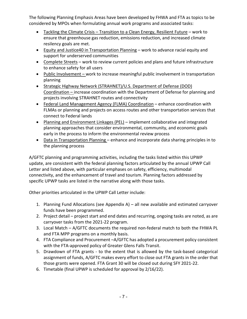The following Planning Emphasis Areas have been developed by FHWA and FTA as topics to be considered by MPOs when formulating annual work programs and associated tasks:

- Tackling the Climate Crisis Transition to a Clean Energy, Resilient Future work to ensure that greenhouse gas reduction, emissions reduction, and increased climate resilency goals are met.
- Equity and Justice40 in Transportation Planning work to advance racial equity and support for underserved communities
- Complete Streets work to review current policies and plans and future infrastructure to enhance safety for all users
- Public Involvement work to increase meaningful public involvement in transportation planning
- Strategic Highway Network (STRAHNET)/U.S. Department of Defense (DOD) Coordination – increase coordination with the Department of Defense for planning and projects involving STRAHNET routes and connectivity
- Federal Land Management Agency (FLMA) Coordination enhance coordination with FLMAs or planning and projects on access routes and other transportation services that connect to Federal lands
- Planning and Environment Linkages (PEL) implement collaborative and integrated planning approaches that consider environmental, community, and economic goals early in the process to inform the environmental review process
- Data in Transportation Planning enhance and incorporate data sharing principles in to the planning process

A/GFTC planning and programming activities, including the tasks listed within this UPWP update, are consistent with the federal planning factors articulated by the annual UPWP Call Letter and listed above, with particular emphases on safety, efficiency, multimodal connectivity, and the enhancement of travel and tourism. Planning factors addressed by specific UPWP tasks are listed in the narrative along with those tasks.

Other priorities articulated in the UPWP Call Letter include:

- 1. Planning Fund Allocations (see Appendix A) all new available and estimated carryover funds have been programmed.
- 2. Project detail project start and end dates and recurring, ongoing tasks are noted, as are carryover tasks from the 2021‐22 program.
- 3. Local Match A/GFTC documents the required non-federal match to both the FHWA PL and FTA MPP programs on a monthly basis.
- 4. FTA Compliance and Procurement –A/GFTC has adopted a procurement policy consistent with the FTA‐approved policy of Greater Glens Falls Transit.
- 5. Drawdown of FTA grants to the extent that is allowed by the task-based categorical assignment of funds, A/GFTC makes every effort to close out FTA grants in the order that those grants were opened. FTA Grant 30 will be closed out during SFY 2021‐22.
- 6. Timetable (final UPWP is scheduled for approval by 2/16/22).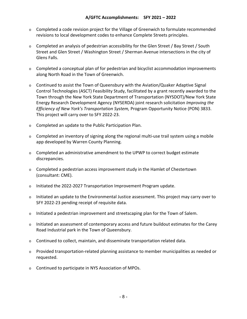### **A/GFTC Accomplishments: SFY 2021 – 2022**

- $\circ$  Completed a code revision project for the Village of Greenwich to formulate recommended revisions to local development codes to enhance Complete Streets principles.
- o Completed an analysis of pedestrian accessibility for the Glen Street / Bay Street / South Street and Glen Street / Washington Street / Sherman Avenue intersections in the city of Glens Falls.
- o Completed a conceptual plan of for pedestrian and bicyclist accommodation improvements along North Road in the Town of Greenwich.
- $\circ$  Continued to assist the Town of Queensbury with the Aviation/Quaker Adaptive Signal Control Technologies (ASCT) Feasibility Study, facilitated by a grant recently awarded to the Town through the New York State Department of Transportation (NYSDOT)/New York State Energy Research Development Agency (NYSERDA) joint research solicitation *Improving the Efficiency of New York's Transportation System,* Program Opportunity Notice (PON) 3833. This project will carry over to SFY 2022‐23.
- o Completed an update to the Public Participation Plan.
- o Completed an inventory of signing along the regional multi‐use trail system using a mobile app developed by Warren County Planning.
- o Completed an administrative amendment to the UPWP to correct budget estimate discrepancies.
- o Completed a pedestrian access improvement study in the Hamlet of Chestertown (consultant: CME).
- o Initiated the 2022‐2027 Transportation Improvement Program update.
- $\circ$  Initiated an update to the Environmental Justice assessment. This project may carry over to SFY 2022‐23 pending receipt of requisite data.
- $\circ$  Initiated a pedestrian improvement and streetscaping plan for the Town of Salem.
- $\circ$  Initiated an assessment of contemporary access and future buildout estimates for the Carey Road Industrial park in the Town of Queensbury.
- o Continued to collect, maintain, and disseminate transportation related data.
- o Provided transportation‐related planning assistance to member municipalities as needed or requested.
- o Continued to participate in NYS Association of MPOs.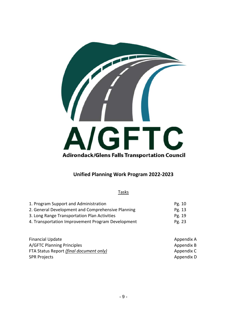

# **Unified Planning Work Program 2022‐2023**

**Tasks** 

| 1. Program Support and Administration             | Pg. 10 |
|---------------------------------------------------|--------|
| 2. General Development and Comprehensive Planning | Pg. 13 |
| 3. Long Range Transportation Plan Activities      | Pe. 19 |
| 4. Transportation Improvement Program Development | Pg. 23 |

| <b>Financial Update</b>                 | Appendix A |
|-----------------------------------------|------------|
| A/GFTC Planning Principles              | Appendix B |
| FTA Status Report (final document only) | Appendix C |
| <b>SPR Projects</b>                     | Appendix D |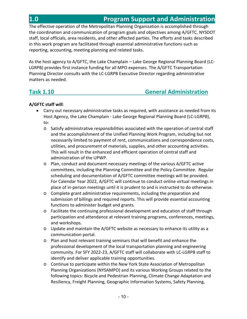The effective operation of the Metropolitan Planning Organization is accomplished through the coordination and communication of program goals and objectives among A/GFTC, NYSDOT staff, local officials, area residents, and other affected parties. The efforts and tasks described in this work program are facilitated through essential administrative functions such as reporting, accounting, meeting planning and related tasks.

As the host agency to A/GFTC, the Lake Champlain – Lake George Regional Planning Board (LC‐ LGRPB) provides first instance funding for all MPO expenses. The A/GFTC Transportation Planning Director consults with the LC‐LGRPB Executive Director regarding administrative matters as needed.

# **Task 1.10 General Administration**

- Carry out necessary administrative tasks as required, with assistance as needed from its Host Agency, the Lake Champlain ‐ Lake George Regional Planning Board (LC‐LGRPB), to:
	- o Satisfy administrative responsibilities associated with the operation of central staff and the accomplishment of the Unified Planning Work Program, including but not necessarily limited to payment of rent, communications and correspondence costs, utilities, and procurement of materials, supplies, and other accounting activities. This will result in the enhanced and efficient operation of central staff and administration of the UPWP.
	- o Plan, conduct and document necessary meetings of the various A/GFTC active committees, including the Planning Committee and the Policy Committee. Regular scheduling and documentation of A/GFTC committee meetings will be provided. For Calendar Year 2022, A/GFTC will continue to conduct online virtual meetings in place of in‐person meetings until it is prudent to and is instructed to do otherwise.
	- o Complete grant administrative requirements, including the preparation and submission of billings and required reports. This will provide essential accounting functions to administer budget and grants.
	- $\circ$  Facilitate the continuing professional development and education of staff through participation and attendance at relevant training programs, conferences, meetings, and workshops.
	- o Update and maintain the A/GFTC website as necessary to enhance its utility as a communication portal.
	- o Plan and host relevant training seminars that will benefit and enhance the professional development of the local transportation planning and engineering community. For SFY 2022‐23, A/GFTC staff will collaborate with LC‐LGRPB staff to identify and deliver applicable training opportunities.
	- o Continue to participate within the New York State Association of Metropolitan Planning Organizations (NYSAMPO) and its various Working Groups related to the following topics: Bicycle and Pedestrian Planning, Climate Change Adaptation and Resiliency, Freight Planning, Geographic Information Systems, Safety Planning,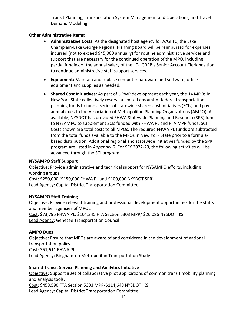Transit Planning, Transportation System Management and Operations, and Travel Demand Modeling.

### **Other Administrative Items:**

- **Administrative Costs:** As the designated host agency for A/GFTC, the Lake Champlain‐Lake George Regional Planning Board will be reimbursed for expenses incurred (not to exceed \$45,000 annually) for routine administrative services and support that are necessary for the continued operation of the MPO, including partial funding of the annual salary of the LC‐LGRPB's Senior Account Clerk position to continue administrative staff support services.
- **Equipment:** Maintain and replace computer hardware and software, office equipment and supplies as needed.
- **Shared Cost Initiatives:** As part of UPWP development each year, the 14 MPOs in New York State collectively reserve a limited amount of federal transportation planning funds to fund a series of statewide shared cost initiatives (SCIs) and pay annual dues to the Association of Metropolitan Planning Organizations (AMPO). As available, NYSDOT has provided FHWA Statewide Planning and Research (SPR) funds to NYSAMPO to supplement SCIs funded with FHWA PL and FTA MPP funds. SCI Costs shown are total costs to all MPOs. The required FHWA PL funds are subtracted from the total funds available to the MPOs in New York State prior to a formula‐ based distribution. Additional regional and statewide initiatives funded by the SPR program are listed in *Appendix D*. For SFY 2022‐23, the following activities will be advanced through the SCI program:

### **NYSAMPO Staff Support**

Objective: Provide administrative and technical support for NYSAMPO efforts, including working groups.

Cost: \$250,000 (\$150,000 FHWA PL and \$100,000 NYSDOT SPR) Lead Agency: Capital District Transportation Committee

### **NYSAMPO Staff Training**

Objective: Provide relevant training and professional development opportunities for the staffs and member agencies of MPOs. Cost: \$73,795 FHWA PL, \$104,345 FTA Section 5303 MPP/ \$26,086 NYSDOT IKS

Lead Agency: Genesee Transportation Council

### **AMPO Dues**

Objective: Ensure that MPOs are aware of and considered in the development of national transportation policy. Cost: \$51,611 FHWA PL Lead Agency: Binghamton Metropolitan Transportation Study

### **Shared Transit Service Planning and Analytics Initiative**

Objective: Support a set of collaborative pilot applications of common transit mobility planning and analysis tools.

Cost: \$458,590 FTA Section 5303 MPP/\$114,648 NYSDOT IKS Lead Agency: Capital District Transportation Committee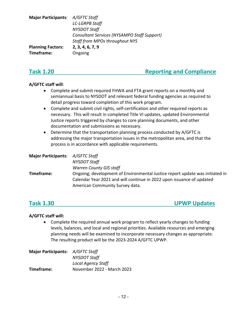| Major Participants: A/GFTC Staff |                                             |
|----------------------------------|---------------------------------------------|
|                                  | <b>LC-LGRPB Staff</b>                       |
|                                  | <b>NYSDOT Staff</b>                         |
|                                  | Consultant Services (NYSAMPO Staff Support) |
|                                  | <b>Staff from MPOs throughout NYS</b>       |
| <b>Planning Factors:</b>         | 2, 3, 4, 6, 7, 9                            |
| Timeframe:                       | Ongoing                                     |

# **Task 1.20 <b> I I I Reporting and Compliance**

### **A/GFTC staff will**:

- Complete and submit required FHWA and FTA grant reports on a monthly and semiannual basis to NYSDOT and relevant federal funding agencies as required to detail progress toward completion of this work program.
- Complete and submit civil rights, self‐certification and other required reports as necessary. This will result in completed Title VI updates, updated Environmental Justice reports triggered by changes to core planning documents, and other documentation and submissions as necessary.
- Determine that the transportation planning process conducted by A/GFTC is addressing the major transportation issues in the metropolitan area, and that the process is in accordance with applicable requirements.

| Major Participants: A/GFTC Staff                                             |
|------------------------------------------------------------------------------|
| NYSDOT Staff                                                                 |
| <b>Warren County GIS staff</b>                                               |
| Ongoing; development of Environmental Justice report update was initiated in |
| Calendar Year 2021 and will continue in 2022 upon issuance of updated        |
| American Community Survey data.                                              |
|                                                                              |

# **Task 1.30 UPWP Updates**

### **A/GFTC staff will:**

 Complete the required annual work program to reflect yearly changes to funding levels, balances, and local and regional priorities. Available resources and emerging planning needs will be examined to incorporate necessary changes as appropriate. The resulting product will be the 2023‐2024 A/GFTC UPWP.

| <b>Major Participants:</b> A/GFTC Staff |
|-----------------------------------------|
| <b>NYSDOT Staff</b>                     |
| <b>Local Agency Staff</b>               |
| November 2022 - March 2023              |
|                                         |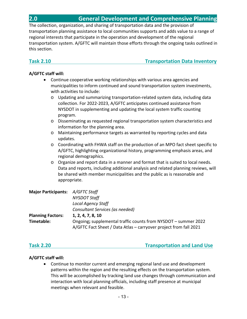The collection, organization, and sharing of transportation data and the provision of transportation planning assistance to local communities supports and adds value to a range of regional interests that participate in the operation and development of the regional transportation system. A/GFTC will maintain those efforts through the ongoing tasks outlined in this section.

**Task 2.10 Transportation Data Inventory** 

# **A/GFTC staff will:**

- Continue cooperative working relationships with various area agencies and municipalities to inform continued and sound transportation system investments, with activities to include:
	- o Updating and summarizing transportation‐related system data, including data collection. For 2022‐2023, A/GFTC anticipates continued assistance from NYSDOT in supplementing and updating the local system traffic counting program.
	- o Disseminating as requested regional transportation system characteristics and information for the planning area.
	- o Maintaining performance targets as warranted by reporting cycles and data updates.
	- o Coordinating with FHWA staff on the production of an MPO fact sheet specific to A/GFTC, highlighting organizational history, programming emphasis areas, and regional demographics.
	- $\circ$  Organize and report data in a manner and format that is suited to local needs. Data and reports, including additional analysis and related planning reviews, will be shared with member municipalities and the public as is reasonable and appropriate.

| Major Participants: A/GFTC Staff |                                                                   |
|----------------------------------|-------------------------------------------------------------------|
|                                  | <b>NYSDOT Staff</b>                                               |
|                                  | <b>Local Agency Staff</b>                                         |
|                                  | Consultant Services (as needed)                                   |
| <b>Planning Factors:</b>         | 1, 2, 4, 7, 8, 10                                                 |
| Timetable:                       | Ongoing; supplemental traffic counts from NYSDOT – summer 2022    |
|                                  | A/GFTC Fact Sheet / Data Atlas - carryover project from fall 2021 |

**Task 2.20 Transportation and Land Use**

# **A/GFTC staff will:**

 Continue to monitor current and emerging regional land use and development patterns within the region and the resulting effects on the transportation system. This will be accomplished by tracking land use changes through communication and interaction with local planning officials, including staff presence at municipal meetings when relevant and feasible.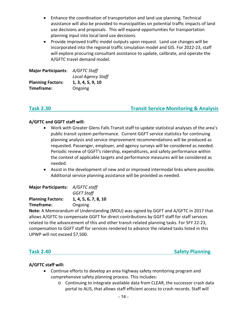- Enhance the coordination of transportation and land use planning. Technical assistance will also be provided to municipalities on potential traffic impacts of land use decisions and proposals. This will expand opportunities for transportation planning input into local land use decisions.
- Provide improved traffic model outputs upon request. Land use changes will be incorporated into the regional traffic simulation model and GIS. For 2022‐23, staff will explore procuring consultant assistance to update, calibrate, and operate the A/GFTC travel demand model.

| <b>Major Participants:</b> | A/GFTC Staff              |
|----------------------------|---------------------------|
|                            | <b>Local Agency Staff</b> |
| <b>Planning Factors:</b>   | 1, 3, 4, 5, 9, 10         |
| Timeframe:                 | Ongoing                   |

### **Task 2.30 Transit Service Monitoring & Analysis**

### **A/GFTC and GGFT staff will:**

- Work with Greater Glens Falls Transit staff to update statistical analyses of the area's public transit system performance. Current GGFT service statistics for continuing planning analysis and service improvement recommendations will be produced as requested. Passenger, employer, and agency surveys will be considered as needed. Periodic review of GGFT's ridership, expenditures, and safety performance within the context of applicable targets and performance measures will be considered as needed.
- Assist in the development of new and or improved intermodal links where possible. Additional service planning assistance will be provided as needed.

| <b>Major Participants:</b> | A/GFTC staff         |
|----------------------------|----------------------|
|                            | <b>GGFT Staff</b>    |
| <b>Planning Factors:</b>   | 1, 4, 5, 6, 7, 8, 10 |
| Timeframe:                 | Ongoing              |

**Note:** A Memorandum of Understanding (MOU) was signed by GGFT and A/GFTC in 2017 that allows A/GFTC to compensate GGFT for direct contributions by GGFT staff for staff services related to the advancement of this and other transit-related planning tasks. For SFY 22-23, compensation to GGFT staff for services rendered to advance the related tasks listed in this UPWP will not exceed \$7,500.

**Task 2.40 Safety Planning** 

- Continue efforts to develop an area highway safety monitoring program and comprehensive safety planning process. This includes:
	- o Continuing to integrate available data from CLEAR, the successor crash data portal to ALIS, that allows staff efficient access to crash records. Staff will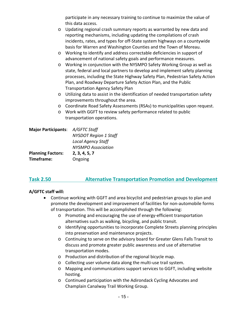participate in any necessary training to continue to maximize the value of this data access.

- o Updating regional crash summary reports as warranted by new data and reporting mechanisms, including updating the compilations of crash incidents, rates, and types for off‐State system highways on a countywide basis for Warren and Washington Counties and the Town of Moreau.
- o Working to identify and address correctable deficiencies in support of advancement of national safety goals and performance measures.
- o Working in conjunction with the NYSMPO Safety Working Group as well as state, federal and local partners to develop and implement safety planning processes, including the State Highway Safety Plan, Pedestrian Safety Action Plan, and Roadway Departure Safety Action Plan, and the Public Transportation Agency Safety Plan
- o Utilizing data to assist in the identification of needed transportation safety improvements throughout the area.
- o Coordinate Road Safety Assessments (RSAs) to municipalities upon request.
- o Work with GGFT to review safety performance related to public transportation operations.

| Major Participants: A/GFTC Staff |                              |
|----------------------------------|------------------------------|
|                                  | <b>NYSDOT Region 1 Staff</b> |
|                                  | <b>Local Agency Staff</b>    |
|                                  | <b>NYSMPO Association</b>    |
| <b>Planning Factors:</b>         | 2, 3, 4, 5, 7                |
| Timeframe:                       | Ongoing                      |

# **Task 2.50 Alternative Transportation Promotion and Development**

- Continue working with GGFT and area bicyclist and pedestrian groups to plan and promote the development and improvement of facilities for non‐automobile forms of transportation. This will be accomplished through the following:
	- o Promoting and encouraging the use of energy‐efficient transportation alternatives such as walking, bicycling, and public transit.
	- o Identifying opportunities to incorporate Complete Streets planning principles into preservation and maintenance projects.
	- o Continuing to serve on the advisory board for Greater Glens Falls Transit to discuss and promote greater public awareness and use of alternative transportation modes.
	- o Production and distribution of the regional bicycle map.
	- o Collecting user volume data along the multi‐use trail system.
	- o Mapping and communications support services to GGFT, including website hosting.
	- o Continued participation with the Adirondack Cycling Advocates and Champlain Canalway Trail Working Group.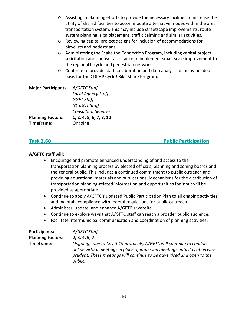- o Assisting in planning efforts to provide the necessary facilities to increase the utility of shared facilities to accommodate alternative modes within the area transportation system. This may include streetscape improvements, route system planning, sign placement, traffic calming and similar activities.
- o Reviewing capital project designs for inclusion of accommodations for bicyclists and pedestrians.
- o Administering the Make the Connection Program, including capital project solicitation and sponsor assistance to implement small‐scale improvement to the regional bicycle and pedestrian network.
- o Continue to provide staff collaboration and data analysis on an as‐needed basis for the CDPHP Cycle! Bike Share Program.

| <b>Major Participants:</b> | A/GFTC Staff               |
|----------------------------|----------------------------|
|                            | <b>Local Agency Staff</b>  |
|                            | <b>GGFT Staff</b>          |
|                            | <b>NYSDOT Staff</b>        |
|                            | <b>Consultant Services</b> |
| <b>Planning Factors:</b>   | 1, 2, 4, 5, 6, 7, 8, 10    |
| Timeframe:                 | Ongoing                    |

## **Task 2.60 Public Participation**

- Encourage and promote enhanced understanding of and access to the transportation planning process by elected officials, planning and zoning boards and the general public. This includes a continued commitment to public outreach and providing educational materials and publications. Mechanisms for the distribution of transportation planning‐related information and opportunities for input will be provided as appropriate.
- Continue to apply A/GFTC's updated Public Participation Plan to all ongoing activities and maintain compliance with federal regulations for public outreach.
- Administer, update, and enhance A/GFTC's website.
- Continue to explore ways that A/GFTC staff can reach a broader public audience.
- Facilitate intermunicipal communication and coordination of planning activities.

| Participants:            | A/GFTC Staff                                                                                                                                                                                                                             |
|--------------------------|------------------------------------------------------------------------------------------------------------------------------------------------------------------------------------------------------------------------------------------|
| <b>Planning Factors:</b> | 2, 3, 4, 5, 7                                                                                                                                                                                                                            |
| Timeframe:               | Ongoing; due to Covid-19 protocols, A/GFTC will continue to conduct<br>online virtual meetings in place of in-person meetings until it is otherwise<br>prudent. These meetings will continue to be advertised and open to the<br>public. |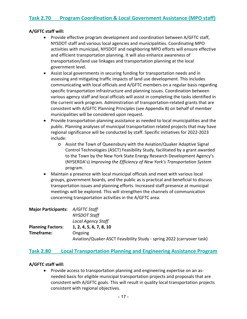### **A/GFTC staff will:**

- Provide effective program development and coordination between A/GFTC staff, NYSDOT staff and various local agencies and municipalities. Coordinating MPO activities with municipal, NYSDOT and neighboring MPO efforts will ensure effective and efficient transportation planning. It will also enhance awareness of transportation/land use linkages and transportation planning at the local government level.
- Assist local governments in securing funding for transportation needs and in assessing and mitigating traffic impacts of land use development. This includes communicating with local officials and A/GFTC members on a regular basis regarding specific transportation infrastructure and planning issues. Coordination between various agency staff and local officials will assist in completing the tasks identified in the current work program. Administration of transportation‐related grants that are consistent with A/GFTC Planning Principles (see Appendix B) on behalf of member municipalities will be considered upon request.
- Provide transportation planning assistance as needed to local municipalities and the public. Planning analyses of municipal transportation related projects that may have regional significance will be conducted by staff. Specific initiatives for 2022‐2023 include:
	- o Assist the Town of Queensbury with the Aviation/Quaker Adaptive Signal Control Technologies (ASCT) Feasibility Study, facilitated by a grant awarded to the Town by the New York State Energy Research Development Agency's (NYSERDA's) *Improving the Efficiency of New York's Transportation System* program.
- Maintain a presence with local municipal officials and meet with various local groups, government boards, and the public as is practical and beneficial to discuss transportation issues and planning efforts. Increased staff presence at municipal meetings will be explored. This will strengthen the channels of communication concerning transportation activities in the A/GFTC area.

| Major Participants: A/GFTC Staff |                                                                       |
|----------------------------------|-----------------------------------------------------------------------|
|                                  | NYSDOT Staff                                                          |
|                                  | <b>Local Agency Staff</b>                                             |
| <b>Planning Factors:</b>         | 1, 2, 4, 5, 6, 7, 8, 10                                               |
| Timeframe:                       | Ongoing                                                               |
|                                  | Aviation/Quaker ASCT Feasibility Study - spring 2022 (carryover task) |

### **Task 2.80 Local Transportation Planning and Engineering Assistance Program**

### **A/GFTC staff will:**

● Provide access to transportation planning and engineering expertise on an asneeded basis for eligible municipal transportation projects and proposals that are consistent with A/GFTC goals. This will result in quality local transportation projects consistent with regional objectives.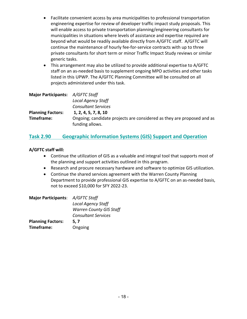- Facilitate convenient access by area municipalities to professional transportation engineering expertise for review of developer traffic impact study proposals. This will enable access to private transportation planning/engineering consultants for municipalities in situations where levels of assistance and expertise required are beyond what would be readily available directly from A/GFTC staff. A/GFTC will continue the maintenance of hourly fee‐for‐service contracts with up to three private consultants for short term or minor Traffic Impact Study reviews or similar generic tasks.
- This arrangement may also be utilized to provide additional expertise to A/GFTC staff on an as-needed basis to supplement ongoing MPO activities and other tasks listed in this UPWP. The A/GFTC Planning Committee will be consulted on all projects administered under this task.

| Major Participants: A/GFTC Staff |                                                                                           |
|----------------------------------|-------------------------------------------------------------------------------------------|
|                                  | <b>Local Agency Staff</b>                                                                 |
|                                  | <b>Consultant Services</b>                                                                |
| <b>Planning Factors:</b>         | 1, 2, 4, 5, 7, 8, 10                                                                      |
| Timeframe:                       | Ongoing; candidate projects are considered as they are proposed and as<br>funding allows. |

# **Task 2.90 Geographic Information Systems (GIS) Support and Operation**

- Continue the utilization of GIS as a valuable and integral tool that supports most of the planning and support activities outlined in this program.
- Research and procure necessary hardware and software to optimize GIS utilization.
- Continue the shared services agreement with the Warren County Planning Department to provide professional GIS expertise to A/GFTC on an as-needed basis, not to exceed \$10,000 for SFY 2022‐23.

| Major Participants: A/GFTC Staff |                                |
|----------------------------------|--------------------------------|
|                                  | <b>Local Agency Staff</b>      |
|                                  | <b>Warren County GIS Staff</b> |
|                                  | <b>Consultant Services</b>     |
| <b>Planning Factors:</b>         | 5, 7                           |
| Timeframe:                       | Ongoing                        |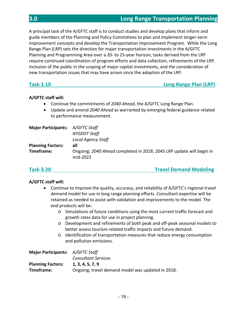A principal task of the A/GFTC staff is to conduct studies and develop plans that inform and guide members of the Planning and Policy Committees to plan and implement longer‐term improvement concepts and develop the Transportation Improvement Program. While the Long Range Plan (LRP) sets the direction for major transportation investments in the A/GFTC Planning and Programming Area over a 20‐ to 25‐year horizon, tasks derived from the LRP require continued coordination of program efforts and data collection, refinements of the LRP, inclusion of the public in the scoping of major capital investments, and the consideration of new transportation issues that may have arisen since the adoption of the LRP.

# **Task 3.10 Long Range Plan (LRP)**

### **A/GFTC staff will:**

- Continue the commitments of *2040 Ahead,* the A/GFTC Long Range Plan.
- Update and amend *2040 Ahead* as warranted by emerging federal guidance related to performance measurement.

| Major Participants: A/GFTC Staff |                                                                                  |
|----------------------------------|----------------------------------------------------------------------------------|
|                                  | NYSDOT Staff                                                                     |
|                                  | <b>Local Agency Staff</b>                                                        |
| <b>Planning Factors:</b>         | all                                                                              |
| Timeframe:                       | Ongoing; 2040 Ahead completed in 2018; 2045 LRP update will begin in<br>mid-2022 |

**Task 3.20 Travel Demand Modeling**

- Continue to improve the quality, accuracy, and reliability of A/GFTC's regional travel demand model for use in long range planning efforts. Consultant expertise will be retained as needed to assist with validation and improvements to the model. The end products will be:
	- o Simulations of future conditions using the most current traffic forecast and growth rates data for use in project planning.
	- o Development and refinements of both peak and off‐peak seasonal models to better assess tourism‐related traffic impacts and future demand.
	- o Identification of transportation measures that reduce energy consumption and pollution emissions.

| <b>Major Participants:</b> A/GFTC Staff |                                                   |
|-----------------------------------------|---------------------------------------------------|
|                                         | <b>Consultant Services</b>                        |
| <b>Planning Factors:</b>                | 1, 3, 4, 5, 7, 9                                  |
| Timeframe:                              | Ongoing; travel demand model was updated in 2018. |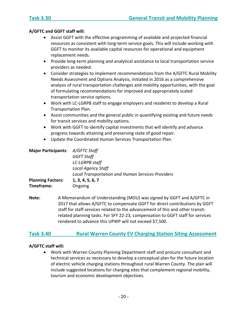### **A/GFTC and GGFT staff will:**

- Assist GGFT with the effective programming of available and projected financial resources as consistent with long‐term service goals. This will include working with GGFT to monitor its available capital resources for operational and equipment replacement needs.
- Provide long-term planning and analytical assistance to local transportation service providers as needed.
- Consider strategies to implement recommendations from the A/GFTC Rural Mobility Needs Assessment and Options Analysis, initiated in 2016 as a comprehensive analysis of rural transportation challenges and mobility opportunities, with the goal of formulating recommendations for improved and appropriately scaled transportation service options.
- Work with LC-LGRPB staff to engage employers and residents to develop a Rural Transportation Plan.
- Assist communities and the general public in quantifying existing and future needs for transit services and mobility options.
- Work with GGFT to identify capital investments that will identify and advance progress towards attaining and preserving state of good repair.
- Update the Coordinated Human Services Transportation Plan.

| Major Participants: A/GFTC Staff |                                                          |
|----------------------------------|----------------------------------------------------------|
|                                  | <b>GGFT Staff</b>                                        |
|                                  | <b>LC-LGRPB staff</b>                                    |
|                                  | <b>Local Agency Staff</b>                                |
|                                  | <b>Local Transportation and Human Services Providers</b> |
| <b>Planning Factors:</b>         | 1, 3, 4, 5, 6, 7                                         |
| Timeframe:                       | Ongoing                                                  |

**Note:**  A Memorandum of Understanding (MOU) was signed by GGFT and A/GFTC in 2017 that allows A/GFTC to compensate GGFT for direct contributions by GGFT staff for staff services related to the advancement of this and other transit‐ related planning tasks. For SFY 22‐23, compensation to GGFT staff for services rendered to advance this UPWP will not exceed \$7,500.

### **Task 3.40 Rural Warren County EV Charging Station Siting Assessment**

### **A/GFTC staff will:**

 Work with Warren County Planning Department staff and procure consultant and technical services as necessary to develop a conceptual plan for the future location of electric vehicle charging stations throughout rural Warren County. The plan will include suggested locations for charging sites that complement regional mobility, tourism and economic development objectives.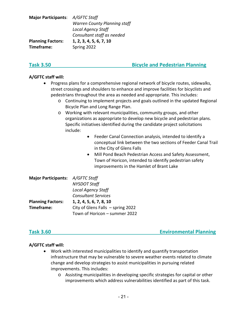| Major Participants: A/GFTC Staff |                                     |
|----------------------------------|-------------------------------------|
|                                  | <b>Warren County Planning staff</b> |
|                                  | <b>Local Agency Staff</b>           |
|                                  | Consultant staff as needed          |
| <b>Planning Factors:</b>         | 1, 2, 3, 4, 5, 6, 7, 10             |
| Timeframe:                       | Spring 2022                         |

# **Task 3.50 Bicycle and Pedestrian Planning**

### **A/GFTC staff will:**

- Progress plans for a comprehensive regional network of bicycle routes, sidewalks, street crossings and shoulders to enhance and improve facilities for bicyclists and pedestrians throughout the area as needed and appropriate. This includes:
	- o Continuing to implement projects and goals outlined in the updated Regional Bicycle Plan and Long Range Plan.
	- o Working with relevant municipalities, community groups, and other organizations as appropriate to develop new bicycle and pedestrian plans. Specific initiatives identified during the candidate project solicitations include:
		- Feeder Canal Connection analysis, intended to identify a conceptual link between the two sections of Feeder Canal Trail in the City of Glens Falls
		- Mill Pond Beach Pedestrian Access and Safety Assessment, Town of Horicon, intended to identify pedestrian safety improvements in the Hamlet of Brant Lake

| Major Participants: A/GFTC Staff |                                     |
|----------------------------------|-------------------------------------|
|                                  | <b>NYSDOT Staff</b>                 |
|                                  | <b>Local Agency Staff</b>           |
|                                  | <b>Consultant Services</b>          |
| <b>Planning Factors:</b>         | 1, 2, 4, 5, 6, 7, 8, 10             |
| Timeframe:                       | City of Glens Falls $-$ spring 2022 |
|                                  | Town of Horicon - summer 2022       |

**Task 3.60 Environmental Planning** 

- Work with interested municipalities to identify and quantify transportation infrastructure that may be vulnerable to severe weather events related to climate change and develop strategies to assist municipalities in pursuing related improvements. This includes:
	- o Assisting municipalities in developing specific strategies for capital or other improvements which address vulnerabilities identified as part of this task.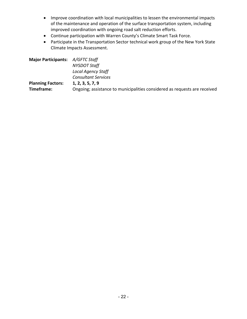- Improve coordination with local municipalities to lessen the environmental impacts of the maintenance and operation of the surface transportation system, including improved coordination with ongoing road salt reduction efforts.
- Continue participation with Warren County's Climate Smart Task Force.
- Participate in the Transportation Sector technical work group of the New York State Climate Impacts Assessment.

| Major Participants: A/GFTC Staff |                                                                           |
|----------------------------------|---------------------------------------------------------------------------|
|                                  | <b>NYSDOT Staff</b>                                                       |
|                                  | <b>Local Agency Staff</b>                                                 |
|                                  | <b>Consultant Services</b>                                                |
| <b>Planning Factors:</b>         | 1, 2, 3, 5, 7, 9                                                          |
| Timeframe:                       | Ongoing; assistance to municipalities considered as requests are received |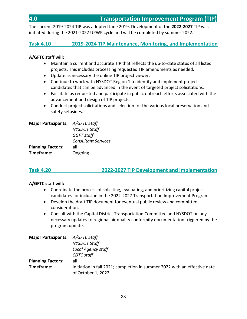The current 2019‐2024 TIP was adopted June 2019. Development of the **2022‐2027** TIP was initiated during the 2021‐2022 UPWP cycle and will be completed by summer 2022.

# **Task 4.10 2019‐2024 TIP Maintenance, Monitoring, and Implementation**

### **A/GFTC staff will:**

- Maintain a current and accurate TIP that reflects the up-to-date status of all listed projects. This includes processing requested TIP amendments as needed.
- Update as necessary the online TIP project viewer.
- Continue to work with NYSDOT Region 1 to identify and implement project candidates that can be advanced in the event of targeted project solicitations.
- Facilitate as requested and participate in public outreach efforts associated with the advancement and design of TIP projects.
- Conduct project solicitations and selection for the various local preservation and safety setasides.

| <b>Major Participants:</b> | A/GFTC Staff               |
|----------------------------|----------------------------|
|                            | <b>NYSDOT Staff</b>        |
|                            | <b>GGFT staff</b>          |
|                            | <b>Consultant Services</b> |
| <b>Planning Factors:</b>   | all                        |
| Timeframe:                 | Ongoing                    |

# **Task 4.20 2022‐2027 TIP Development and Implementation**

- Coordinate the process of soliciting, evaluating, and prioritizing capital project candidates for inclusion in the 2022‐2027 Transportation Improvement Program.
- Develop the draft TIP document for eventual public review and committee consideration.
- Consult with the Capital District Transportation Committee and NYSDOT on any necessary updates to regional air quality conformity documentation triggered by the program update.

| Major Participants: A/GFTC Staff |                                                                                                  |
|----------------------------------|--------------------------------------------------------------------------------------------------|
|                                  | <b>NYSDOT Staff</b>                                                                              |
|                                  | <b>Local Agency staff</b>                                                                        |
|                                  | <b>CDTC</b> staff                                                                                |
| <b>Planning Factors:</b>         | all                                                                                              |
| Timeframe:                       | Initiation in fall 2021; completion in summer 2022 with an effective date<br>of October 1, 2022. |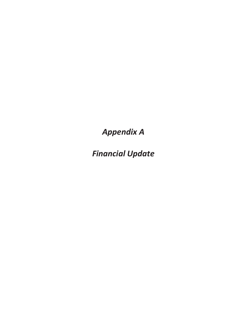**Appendix A** 

**Financial Update**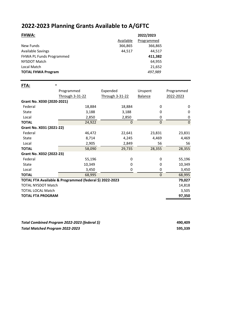# **2022‐2023 Planning Grants Available to A/GFTC**

| <b>FHWA:</b>                                                   |                 | Available       | 2022/2023<br>Programmed |            |
|----------------------------------------------------------------|-----------------|-----------------|-------------------------|------------|
| New Funds                                                      |                 | 366,865         | 366,865                 |            |
| <b>Available Savings</b>                                       |                 | 44,517          | 44,517                  |            |
| <b>FHWA PL Funds Programmed</b><br>NYSDOT Match<br>Local Match |                 |                 | 411,382                 |            |
|                                                                |                 |                 | 64,955<br>21,652        |            |
|                                                                |                 |                 |                         |            |
| <b>TOTAL FHWA Program</b>                                      |                 |                 | 497,989                 |            |
| FTA:                                                           | $\ast$          |                 |                         |            |
|                                                                | Programmed      | Expended        | Unspent                 | Programmed |
|                                                                | Through 3-31-22 | Through 3-31-22 | <b>Balance</b>          | 2022-2023  |
| Grant No. X030 (2020-2021)                                     |                 |                 |                         |            |
| Federal                                                        | 18,884          | 18,884          | 0                       | 0          |

| <b>FEUEL AL</b>                                         | 10,004                   | 10,004 | v      | U            |
|---------------------------------------------------------|--------------------------|--------|--------|--------------|
| State                                                   | 3,188                    | 3,188  | 0      | 0            |
| Local                                                   | 2,850                    | 2,850  | 0      | 0            |
| <b>TOTAL</b>                                            | 24,922                   | 0      | 0      | $\mathbf{0}$ |
| Grant No. X031 (2021-22)                                |                          |        |        |              |
| Federal                                                 | 46,472                   | 22,641 | 23,831 | 23,831       |
| State                                                   | 8,714                    | 4,245  | 4,469  | 4,469        |
| Local                                                   | 2,905                    | 2,849  | 56     | 56           |
| <b>TOTAL</b>                                            | 58,090                   | 29,735 | 28,355 | 28,355       |
| Grant No. X032 (2022-23)                                |                          |        |        |              |
| Federal                                                 | 55,196                   | 0      | 0      | 55,196       |
| State                                                   | 10,349                   | 0      | 0      | 10,349       |
| Local                                                   | 3,450                    | 0      | 0      | 3,450        |
| <b>TOTAL</b>                                            | 68,995                   |        | 0      | 68,995       |
| TOTAL FTA Available & Programmed (federal \$) 2022-2023 |                          |        |        | 79,027       |
| <b>TOTAL NYSDOT Match</b>                               |                          |        |        | 14,818       |
| <b>TOTAL LOCAL Match</b>                                |                          |        |        | 3,505        |
|                                                         | <b>TOTAL FTA PROGRAM</b> |        |        |              |

| Total Combined Program 2022-2023 (federal \$) | 490.409 |
|-----------------------------------------------|---------|
| Total Matched Program 2022-2023               | 595.339 |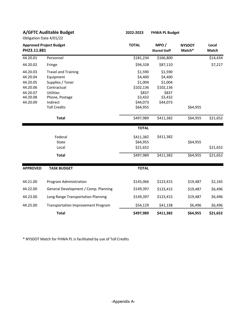| <b>A/GFTC Auditable Budget</b><br>Obligation Date 4/01/22 |                                           | 2022-2023    | <b>FHWA PL Budget</b>       |                         |                |
|-----------------------------------------------------------|-------------------------------------------|--------------|-----------------------------|-------------------------|----------------|
| <b>Approved Project Budget</b><br>PH23.11.881             |                                           | <b>TOTAL</b> | MPO/<br><b>Shared Staff</b> | <b>NYSDOT</b><br>Match* | Local<br>Match |
| 44.20.01                                                  | Personnel                                 | \$181,234    | \$166,800                   |                         | \$14,434       |
| 44.20.02                                                  | Fringe                                    | \$94,328     | \$87,110                    |                         | \$7,217        |
| 44.20.03                                                  | <b>Travel and Training</b>                | \$1,590      | \$1,590                     |                         |                |
| 44.20.04                                                  | Equipment                                 | \$4,400      | \$4,400                     |                         |                |
| 44.20.05                                                  | Supplies / Toner                          | \$1,004      | \$1,004                     |                         |                |
| 44.20.06                                                  | Contractual                               | \$102,136    | \$102,136                   |                         |                |
| 44.20.07                                                  | <b>Utilities</b>                          | \$837        | \$837                       |                         |                |
| 44.20.08                                                  | Phone, Postage                            | \$3,432      | \$3,432                     |                         |                |
| 44.20.09                                                  | Indirect                                  | \$44,073     | \$44,073                    |                         |                |
|                                                           | <b>Toll Credits</b>                       | \$64,955     |                             | \$64,955                |                |
|                                                           | <b>Total</b>                              | \$497,989    | \$411,382                   | \$64,955                | \$21,652       |
|                                                           |                                           | <b>TOTAL</b> |                             |                         |                |
|                                                           | Federal                                   | \$411,382    | \$411,382                   |                         |                |
|                                                           | <b>State</b>                              | \$64,955     |                             | \$64,955                |                |
|                                                           | Local                                     | \$21,652     |                             |                         | \$21,652       |
|                                                           | <b>Total</b>                              | \$497,989    | \$411,382                   | \$64,955                | \$21,652       |
| <b>APPROVED</b>                                           | <b>TASK BUDGET</b>                        | <b>TOTAL</b> |                             |                         |                |
| 44.21.00                                                  | Program Administration                    | \$145,066    | \$123,415                   | \$19,487                | \$2,165        |
| 44.22.00                                                  | General Development / Comp. Planning      | \$149,397    | \$123,415                   | \$19,487                | \$6,496        |
| 44.23.00                                                  | Long Range Transportation Planning        | \$149,397    | \$123,415                   | \$19,487                | \$6,496        |
| 44.25.00                                                  | <b>Transportation Improvement Program</b> | \$54,129     | \$41,138                    | \$6,496                 | \$6,496        |
|                                                           | <b>Total</b>                              | \$497,989    | \$411,382                   | \$64,955                | \$21,652       |

\* NYSDOT Match for FHWA PL is facilitated by use of Toll Credits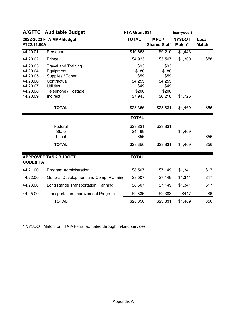|                                                                                  | A/GFTC Auditable Budget                                                                                                           | FTA Grant 031<br>(carryover)                                 |                                                              |                         |                       |  |
|----------------------------------------------------------------------------------|-----------------------------------------------------------------------------------------------------------------------------------|--------------------------------------------------------------|--------------------------------------------------------------|-------------------------|-----------------------|--|
| PT22.11.80A                                                                      | 2022-2023 FTA MPP Budget                                                                                                          | <b>TOTAL</b>                                                 | MPO/<br><b>Shared Staff</b>                                  | <b>NYSDOT</b><br>Match* | Local<br><b>Match</b> |  |
| 44.20.01                                                                         | Personnel                                                                                                                         | \$10,653                                                     | \$9,210                                                      | \$1,443                 |                       |  |
| 44.20.02                                                                         | Fringe                                                                                                                            | \$4,923                                                      | \$3,567                                                      | \$1,300                 | \$56                  |  |
| 44.20.03<br>44.20.04<br>44.20.05<br>44.20.06<br>44.20.07<br>44.20.08<br>44.20.09 | <b>Travel and Training</b><br>Equipment<br>Supplies / Toner<br>Contractual<br><b>Utilities</b><br>Telephone / Postage<br>Indirect | \$93<br>\$180<br>\$59<br>\$4,255<br>\$49<br>\$200<br>\$7,943 | \$93<br>\$180<br>\$59<br>\$4,255<br>\$49<br>\$200<br>\$6,218 | \$1,725                 |                       |  |
|                                                                                  | <b>TOTAL</b>                                                                                                                      | \$28,356                                                     | \$23,831                                                     | \$4,469                 | \$56                  |  |
|                                                                                  |                                                                                                                                   | <b>TOTAL</b>                                                 |                                                              |                         |                       |  |
|                                                                                  | Federal<br><b>State</b><br>Local                                                                                                  | \$23,831<br>\$4,469<br>\$56                                  | \$23,831                                                     | \$4,469                 | \$56                  |  |
|                                                                                  | <b>TOTAL</b>                                                                                                                      | \$28,356                                                     | \$23,831                                                     | \$4,469                 | \$56                  |  |
| <b>CODE(FTA)</b>                                                                 | <b>APPROVED TASK BUDGET</b>                                                                                                       | <b>TOTAL</b>                                                 |                                                              |                         |                       |  |
| 44.21.00                                                                         | Program Administration                                                                                                            | \$8,507                                                      | \$7,149                                                      | \$1,341                 | \$17                  |  |
| 44.22.00                                                                         | General Development and Comp. Planning                                                                                            | \$8,507                                                      | \$7,149                                                      | \$1,341                 | \$17                  |  |
| 44.23.00                                                                         | Long Range Transportation Planning                                                                                                | \$8,507                                                      | \$7,149                                                      | \$1,341                 | \$17                  |  |
| 44.25.00                                                                         | <b>Transportation Improvement Program</b>                                                                                         | \$2,836                                                      | \$2,383                                                      | \$447                   | \$6                   |  |
|                                                                                  | <b>TOTAL</b>                                                                                                                      | \$28,356                                                     | \$23,831                                                     | \$4,469                 | \$56                  |  |

\* NYSDOT Match for FTA MPP is facilitated through in-kind services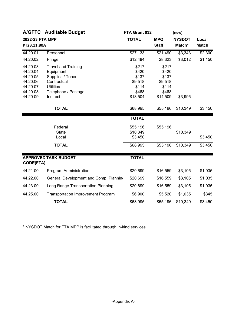|                                                                                  | A/GFTC Auditable Budget                                                                                                           | FTA Grant 032                                                    |                                                                  | (new)                   |                       |  |
|----------------------------------------------------------------------------------|-----------------------------------------------------------------------------------------------------------------------------------|------------------------------------------------------------------|------------------------------------------------------------------|-------------------------|-----------------------|--|
| 2022-23 FTA MPP<br>PT23.11.80A                                                   |                                                                                                                                   | <b>TOTAL</b>                                                     | <b>MPO</b><br><b>Staff</b>                                       | <b>NYSDOT</b><br>Match* | Local<br><b>Match</b> |  |
| 44.20.01                                                                         | Personnel                                                                                                                         | \$27,133                                                         | \$21,490                                                         | \$3,343                 | \$2,300               |  |
| 44.20.02                                                                         | Fringe                                                                                                                            | \$12,484                                                         | \$8,323                                                          | \$3,012                 | \$1,150               |  |
| 44.20.03<br>44.20.04<br>44.20.05<br>44.20.06<br>44.20.07<br>44.20.08<br>44.20.09 | <b>Travel and Training</b><br>Equipment<br>Supplies / Toner<br>Contractual<br><b>Utilities</b><br>Telephone / Postage<br>Indirect | \$217<br>\$420<br>\$137<br>\$9,518<br>\$114<br>\$468<br>\$18,504 | \$217<br>\$420<br>\$137<br>\$9,518<br>\$114<br>\$468<br>\$14,509 | \$3,995                 |                       |  |
|                                                                                  | <b>TOTAL</b>                                                                                                                      | \$68,995                                                         | \$55,196                                                         | \$10,349                | \$3,450               |  |
|                                                                                  |                                                                                                                                   | <b>TOTAL</b>                                                     |                                                                  |                         |                       |  |
|                                                                                  | Federal<br><b>State</b><br>Local                                                                                                  | \$55,196<br>\$10,349<br>\$3,450                                  | \$55,196                                                         | \$10,349                | \$3,450               |  |
|                                                                                  | <b>TOTAL</b>                                                                                                                      | \$68,995                                                         | \$55,196                                                         | \$10,349                | \$3,450               |  |
| <b>CODE(FTA)</b>                                                                 | <b>APPROVED TASK BUDGET</b>                                                                                                       | <b>TOTAL</b>                                                     |                                                                  |                         |                       |  |
| 44.21.00                                                                         | Program Administration                                                                                                            | \$20,699                                                         | \$16,559                                                         | \$3,105                 | \$1,035               |  |
| 44.22.00                                                                         | General Development and Comp. Planning                                                                                            | \$20,699                                                         | \$16,559                                                         | \$3,105                 | \$1,035               |  |
| 44.23.00                                                                         | Long Range Transportation Planning                                                                                                | \$20,699                                                         | \$16,559                                                         | \$3,105                 | \$1,035               |  |
| 44.25.00                                                                         | <b>Transportation Improvement Program</b>                                                                                         | \$6,900                                                          | \$5,520                                                          | \$1,035                 | \$345                 |  |
|                                                                                  | <b>TOTAL</b>                                                                                                                      | \$68,995                                                         | \$55,196                                                         | \$10,349                | \$3,450               |  |

\* NYSDOT Match for FTA MPP is facilitated through in-kind services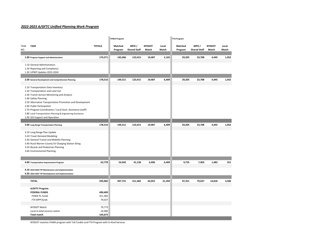### *2022‐2023 A/GFTC Unified Planning Work Program*

| <b>TOTAL\$</b><br>TASK<br>MPO/<br><b>NYSDOT</b><br>MPO/<br><b>NYSDOT</b><br>Matched<br>Local<br>Matched<br>Local<br><b>Shared Staff</b><br>Match<br><b>Shared Staff</b><br>Program<br>Match<br>Program<br>Match<br>Match<br>174,271<br>145,066<br>123,415<br>19,487<br>29,205<br>23,708<br>4,445<br>2,165<br>1,052<br>1.00 Program Support and Administration<br>1.10 General Administration<br>1.20 Reporting and Compliance<br>1.30 UPWP Updates 2023-2024<br>178,516<br>6,409<br>1,052<br>149,311<br>123,415<br>19,487<br>29,205<br>23,708<br>4,445<br>2.00 General Development and Comprehensive Planning<br>2.10 Transportation Data Inventory<br>2.20 Transportation and Land Use<br>2.30 Transit Service Monitoring and Analysis<br>2.40 Safety Planning<br>2.50 Alternative Transportation Promotion and Development<br>2.60 Public Participation<br>2.70 Program Coordination / Local Govt. Assistance (staff)<br>2.80 Local Transportation Planning & Engineering Assistance<br>2.90 GIS Support and Operation<br>178,516<br>149,311<br>123,415<br>19,487<br>6,409<br>29,205<br>23,708<br>4,445<br>1,052<br>3.00 Long Range Transportation Planning<br>3.10 Long Range Plan Update<br>3.20 Travel Demand Modeling<br>3.30 General Transit and Mobility Planning<br>3.40 Rural Warren County EV Charging Station Siting<br>3.50 Bicycle and Pedestrian Planning<br>3.60 Environmental Planning<br>63,778<br>54,043<br>41,138<br>6,409<br>9,735<br>7,903<br>1,482<br>351<br>4.00 Transportation Improvement Program<br>6,496<br>4.10 2019-2024 TIP Maintenance and Implementation<br>4.20 2022-2027 TIP Development and Implementation<br><b>TOTAL</b><br>595,082<br>497,731<br>411,382<br>64,955<br>21,394<br>97,351<br>79,027<br>14,818<br>3,506<br>A/GFTC Program<br><b>FEDERAL FUNDS</b><br>490,409<br>FHWA PL Funds<br>411,382<br>79,027<br>FTA MPP funds<br>79,773<br>NYSDOT Match<br>24,900<br>Local in-kind services match<br><b>Total match</b><br>104,673 |      |  | <b>FHWA Program</b> |  | <b>FTA Program</b> |  |  |
|-----------------------------------------------------------------------------------------------------------------------------------------------------------------------------------------------------------------------------------------------------------------------------------------------------------------------------------------------------------------------------------------------------------------------------------------------------------------------------------------------------------------------------------------------------------------------------------------------------------------------------------------------------------------------------------------------------------------------------------------------------------------------------------------------------------------------------------------------------------------------------------------------------------------------------------------------------------------------------------------------------------------------------------------------------------------------------------------------------------------------------------------------------------------------------------------------------------------------------------------------------------------------------------------------------------------------------------------------------------------------------------------------------------------------------------------------------------------------------------------------------------------------------------------------------------------------------------------------------------------------------------------------------------------------------------------------------------------------------------------------------------------------------------------------------------------------------------------------------------------------------------------------------------------------------------------------------------------------------|------|--|---------------------|--|--------------------|--|--|
|                                                                                                                                                                                                                                                                                                                                                                                                                                                                                                                                                                                                                                                                                                                                                                                                                                                                                                                                                                                                                                                                                                                                                                                                                                                                                                                                                                                                                                                                                                                                                                                                                                                                                                                                                                                                                                                                                                                                                                             | TASK |  |                     |  |                    |  |  |
|                                                                                                                                                                                                                                                                                                                                                                                                                                                                                                                                                                                                                                                                                                                                                                                                                                                                                                                                                                                                                                                                                                                                                                                                                                                                                                                                                                                                                                                                                                                                                                                                                                                                                                                                                                                                                                                                                                                                                                             | NO.  |  |                     |  |                    |  |  |
|                                                                                                                                                                                                                                                                                                                                                                                                                                                                                                                                                                                                                                                                                                                                                                                                                                                                                                                                                                                                                                                                                                                                                                                                                                                                                                                                                                                                                                                                                                                                                                                                                                                                                                                                                                                                                                                                                                                                                                             |      |  |                     |  |                    |  |  |
|                                                                                                                                                                                                                                                                                                                                                                                                                                                                                                                                                                                                                                                                                                                                                                                                                                                                                                                                                                                                                                                                                                                                                                                                                                                                                                                                                                                                                                                                                                                                                                                                                                                                                                                                                                                                                                                                                                                                                                             |      |  |                     |  |                    |  |  |
|                                                                                                                                                                                                                                                                                                                                                                                                                                                                                                                                                                                                                                                                                                                                                                                                                                                                                                                                                                                                                                                                                                                                                                                                                                                                                                                                                                                                                                                                                                                                                                                                                                                                                                                                                                                                                                                                                                                                                                             |      |  |                     |  |                    |  |  |
|                                                                                                                                                                                                                                                                                                                                                                                                                                                                                                                                                                                                                                                                                                                                                                                                                                                                                                                                                                                                                                                                                                                                                                                                                                                                                                                                                                                                                                                                                                                                                                                                                                                                                                                                                                                                                                                                                                                                                                             |      |  |                     |  |                    |  |  |
|                                                                                                                                                                                                                                                                                                                                                                                                                                                                                                                                                                                                                                                                                                                                                                                                                                                                                                                                                                                                                                                                                                                                                                                                                                                                                                                                                                                                                                                                                                                                                                                                                                                                                                                                                                                                                                                                                                                                                                             |      |  |                     |  |                    |  |  |
|                                                                                                                                                                                                                                                                                                                                                                                                                                                                                                                                                                                                                                                                                                                                                                                                                                                                                                                                                                                                                                                                                                                                                                                                                                                                                                                                                                                                                                                                                                                                                                                                                                                                                                                                                                                                                                                                                                                                                                             |      |  |                     |  |                    |  |  |
|                                                                                                                                                                                                                                                                                                                                                                                                                                                                                                                                                                                                                                                                                                                                                                                                                                                                                                                                                                                                                                                                                                                                                                                                                                                                                                                                                                                                                                                                                                                                                                                                                                                                                                                                                                                                                                                                                                                                                                             |      |  |                     |  |                    |  |  |
|                                                                                                                                                                                                                                                                                                                                                                                                                                                                                                                                                                                                                                                                                                                                                                                                                                                                                                                                                                                                                                                                                                                                                                                                                                                                                                                                                                                                                                                                                                                                                                                                                                                                                                                                                                                                                                                                                                                                                                             |      |  |                     |  |                    |  |  |
|                                                                                                                                                                                                                                                                                                                                                                                                                                                                                                                                                                                                                                                                                                                                                                                                                                                                                                                                                                                                                                                                                                                                                                                                                                                                                                                                                                                                                                                                                                                                                                                                                                                                                                                                                                                                                                                                                                                                                                             |      |  |                     |  |                    |  |  |
|                                                                                                                                                                                                                                                                                                                                                                                                                                                                                                                                                                                                                                                                                                                                                                                                                                                                                                                                                                                                                                                                                                                                                                                                                                                                                                                                                                                                                                                                                                                                                                                                                                                                                                                                                                                                                                                                                                                                                                             |      |  |                     |  |                    |  |  |
|                                                                                                                                                                                                                                                                                                                                                                                                                                                                                                                                                                                                                                                                                                                                                                                                                                                                                                                                                                                                                                                                                                                                                                                                                                                                                                                                                                                                                                                                                                                                                                                                                                                                                                                                                                                                                                                                                                                                                                             |      |  |                     |  |                    |  |  |
|                                                                                                                                                                                                                                                                                                                                                                                                                                                                                                                                                                                                                                                                                                                                                                                                                                                                                                                                                                                                                                                                                                                                                                                                                                                                                                                                                                                                                                                                                                                                                                                                                                                                                                                                                                                                                                                                                                                                                                             |      |  |                     |  |                    |  |  |
|                                                                                                                                                                                                                                                                                                                                                                                                                                                                                                                                                                                                                                                                                                                                                                                                                                                                                                                                                                                                                                                                                                                                                                                                                                                                                                                                                                                                                                                                                                                                                                                                                                                                                                                                                                                                                                                                                                                                                                             |      |  |                     |  |                    |  |  |
|                                                                                                                                                                                                                                                                                                                                                                                                                                                                                                                                                                                                                                                                                                                                                                                                                                                                                                                                                                                                                                                                                                                                                                                                                                                                                                                                                                                                                                                                                                                                                                                                                                                                                                                                                                                                                                                                                                                                                                             |      |  |                     |  |                    |  |  |
|                                                                                                                                                                                                                                                                                                                                                                                                                                                                                                                                                                                                                                                                                                                                                                                                                                                                                                                                                                                                                                                                                                                                                                                                                                                                                                                                                                                                                                                                                                                                                                                                                                                                                                                                                                                                                                                                                                                                                                             |      |  |                     |  |                    |  |  |
|                                                                                                                                                                                                                                                                                                                                                                                                                                                                                                                                                                                                                                                                                                                                                                                                                                                                                                                                                                                                                                                                                                                                                                                                                                                                                                                                                                                                                                                                                                                                                                                                                                                                                                                                                                                                                                                                                                                                                                             |      |  |                     |  |                    |  |  |
|                                                                                                                                                                                                                                                                                                                                                                                                                                                                                                                                                                                                                                                                                                                                                                                                                                                                                                                                                                                                                                                                                                                                                                                                                                                                                                                                                                                                                                                                                                                                                                                                                                                                                                                                                                                                                                                                                                                                                                             |      |  |                     |  |                    |  |  |
|                                                                                                                                                                                                                                                                                                                                                                                                                                                                                                                                                                                                                                                                                                                                                                                                                                                                                                                                                                                                                                                                                                                                                                                                                                                                                                                                                                                                                                                                                                                                                                                                                                                                                                                                                                                                                                                                                                                                                                             |      |  |                     |  |                    |  |  |
|                                                                                                                                                                                                                                                                                                                                                                                                                                                                                                                                                                                                                                                                                                                                                                                                                                                                                                                                                                                                                                                                                                                                                                                                                                                                                                                                                                                                                                                                                                                                                                                                                                                                                                                                                                                                                                                                                                                                                                             |      |  |                     |  |                    |  |  |
|                                                                                                                                                                                                                                                                                                                                                                                                                                                                                                                                                                                                                                                                                                                                                                                                                                                                                                                                                                                                                                                                                                                                                                                                                                                                                                                                                                                                                                                                                                                                                                                                                                                                                                                                                                                                                                                                                                                                                                             |      |  |                     |  |                    |  |  |
|                                                                                                                                                                                                                                                                                                                                                                                                                                                                                                                                                                                                                                                                                                                                                                                                                                                                                                                                                                                                                                                                                                                                                                                                                                                                                                                                                                                                                                                                                                                                                                                                                                                                                                                                                                                                                                                                                                                                                                             |      |  |                     |  |                    |  |  |
|                                                                                                                                                                                                                                                                                                                                                                                                                                                                                                                                                                                                                                                                                                                                                                                                                                                                                                                                                                                                                                                                                                                                                                                                                                                                                                                                                                                                                                                                                                                                                                                                                                                                                                                                                                                                                                                                                                                                                                             |      |  |                     |  |                    |  |  |
|                                                                                                                                                                                                                                                                                                                                                                                                                                                                                                                                                                                                                                                                                                                                                                                                                                                                                                                                                                                                                                                                                                                                                                                                                                                                                                                                                                                                                                                                                                                                                                                                                                                                                                                                                                                                                                                                                                                                                                             |      |  |                     |  |                    |  |  |
|                                                                                                                                                                                                                                                                                                                                                                                                                                                                                                                                                                                                                                                                                                                                                                                                                                                                                                                                                                                                                                                                                                                                                                                                                                                                                                                                                                                                                                                                                                                                                                                                                                                                                                                                                                                                                                                                                                                                                                             |      |  |                     |  |                    |  |  |
|                                                                                                                                                                                                                                                                                                                                                                                                                                                                                                                                                                                                                                                                                                                                                                                                                                                                                                                                                                                                                                                                                                                                                                                                                                                                                                                                                                                                                                                                                                                                                                                                                                                                                                                                                                                                                                                                                                                                                                             |      |  |                     |  |                    |  |  |
|                                                                                                                                                                                                                                                                                                                                                                                                                                                                                                                                                                                                                                                                                                                                                                                                                                                                                                                                                                                                                                                                                                                                                                                                                                                                                                                                                                                                                                                                                                                                                                                                                                                                                                                                                                                                                                                                                                                                                                             |      |  |                     |  |                    |  |  |
|                                                                                                                                                                                                                                                                                                                                                                                                                                                                                                                                                                                                                                                                                                                                                                                                                                                                                                                                                                                                                                                                                                                                                                                                                                                                                                                                                                                                                                                                                                                                                                                                                                                                                                                                                                                                                                                                                                                                                                             |      |  |                     |  |                    |  |  |
|                                                                                                                                                                                                                                                                                                                                                                                                                                                                                                                                                                                                                                                                                                                                                                                                                                                                                                                                                                                                                                                                                                                                                                                                                                                                                                                                                                                                                                                                                                                                                                                                                                                                                                                                                                                                                                                                                                                                                                             |      |  |                     |  |                    |  |  |
|                                                                                                                                                                                                                                                                                                                                                                                                                                                                                                                                                                                                                                                                                                                                                                                                                                                                                                                                                                                                                                                                                                                                                                                                                                                                                                                                                                                                                                                                                                                                                                                                                                                                                                                                                                                                                                                                                                                                                                             |      |  |                     |  |                    |  |  |
|                                                                                                                                                                                                                                                                                                                                                                                                                                                                                                                                                                                                                                                                                                                                                                                                                                                                                                                                                                                                                                                                                                                                                                                                                                                                                                                                                                                                                                                                                                                                                                                                                                                                                                                                                                                                                                                                                                                                                                             |      |  |                     |  |                    |  |  |
|                                                                                                                                                                                                                                                                                                                                                                                                                                                                                                                                                                                                                                                                                                                                                                                                                                                                                                                                                                                                                                                                                                                                                                                                                                                                                                                                                                                                                                                                                                                                                                                                                                                                                                                                                                                                                                                                                                                                                                             |      |  |                     |  |                    |  |  |
|                                                                                                                                                                                                                                                                                                                                                                                                                                                                                                                                                                                                                                                                                                                                                                                                                                                                                                                                                                                                                                                                                                                                                                                                                                                                                                                                                                                                                                                                                                                                                                                                                                                                                                                                                                                                                                                                                                                                                                             |      |  |                     |  |                    |  |  |
|                                                                                                                                                                                                                                                                                                                                                                                                                                                                                                                                                                                                                                                                                                                                                                                                                                                                                                                                                                                                                                                                                                                                                                                                                                                                                                                                                                                                                                                                                                                                                                                                                                                                                                                                                                                                                                                                                                                                                                             |      |  |                     |  |                    |  |  |
|                                                                                                                                                                                                                                                                                                                                                                                                                                                                                                                                                                                                                                                                                                                                                                                                                                                                                                                                                                                                                                                                                                                                                                                                                                                                                                                                                                                                                                                                                                                                                                                                                                                                                                                                                                                                                                                                                                                                                                             |      |  |                     |  |                    |  |  |
|                                                                                                                                                                                                                                                                                                                                                                                                                                                                                                                                                                                                                                                                                                                                                                                                                                                                                                                                                                                                                                                                                                                                                                                                                                                                                                                                                                                                                                                                                                                                                                                                                                                                                                                                                                                                                                                                                                                                                                             |      |  |                     |  |                    |  |  |
|                                                                                                                                                                                                                                                                                                                                                                                                                                                                                                                                                                                                                                                                                                                                                                                                                                                                                                                                                                                                                                                                                                                                                                                                                                                                                                                                                                                                                                                                                                                                                                                                                                                                                                                                                                                                                                                                                                                                                                             |      |  |                     |  |                    |  |  |

NYSDOT matches FHWA program with Toll Credits and FTA Program with In‐Kind Services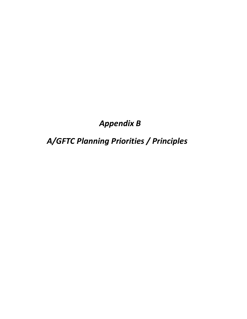# *Appendix B*

*A/GFTC Planning Priorities / Principles*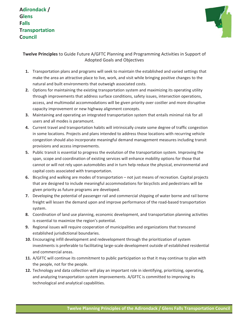**Adirondack / Glens Falls Transportation Council**



**Twelve Principles** to Guide Future A/GFTC Planning and Programming Activities in Support of Adopted Goals and Objectives

- **1.** Transportation plans and programs will seek to maintain the established and varied settings that make the area an attractive place to live, work, and visit while bringing positive changes to the natural and built environments that outweigh associated costs.
- **2.** Options for maintaining the existing transportation system and maximizing its operating utility through improvements that address surface conditions, safety issues, intersection operations, access, and multimodal accommodations will be given priority over costlier and more disruptive capacity improvement or new highway alignment concepts.
- **3.** Maintaining and operating an integrated transportation system that entails minimal risk for all users and all modes is paramount.
- **4.** Current travel and transportation habits will intrinsically create some degree of traffic congestion in some locations. Projects and plans intended to address those locations with recurring vehicle congestion should also incorporate meaningful demand management measures including transit provisions and access improvements.
- **5.** Public transit is essential to progress the evolution of the transportation system. Improving the span, scope and coordination of existing services will enhance mobility options for those that cannot or will not rely upon automobiles and in turn help reduce the physical, environmental and capital costs associated with transportation.
- **6.** Bicycling and walking are modes of transportation not just means of recreation. Capital projects that are designed to include meaningful accommodations for bicyclists and pedestrians will be given priority as future programs are developed.
- **7.** Developing the potential of passenger rail and commercial shipping of water borne and rail borne freight will lessen the demand upon and improve performance of the road-based transportation system.
- **8.** Coordination of land use planning, economic development, and transportation planning activities is essential to maximize the region's potential.
- **9.** Regional issues will require cooperation of municipalities and organizations that transcend established jurisdictional boundaries.
- **10.** Encouraging infill development and redevelopment through the prioritization of system investments is preferable to facilitating large-scale development outside of established residential and commercial areas.
- **11.** A/GFTC will continue its commitment to public participation so that it may continue to plan with the people, not for the people.
- **12.** Technology and data collection will play an important role in identifying, prioritizing, operating, and analyzing transportation system improvements. A/GFTC is committed to improving its technological and analytical capabilities.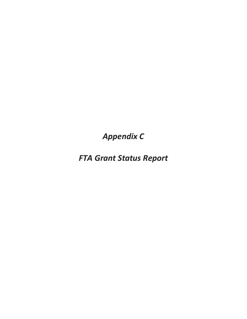**Appendix C** 

**FTA Grant Status Report**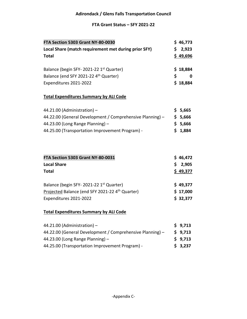### **FTA Grant Status – SFY 2021‐22**

| FTA Section 5303 Grant NY-80-0030                    | \$46,773 |
|------------------------------------------------------|----------|
| Local Share (match requirement met during prior SFY) | \$2,923  |
| <b>Total</b>                                         | \$49,696 |
|                                                      |          |
| Balance (begin SFY-2021-22 1st Quarter)              | \$18,884 |
| Balance (end SFY 2021-22 4 <sup>th</sup> Quarter)    | S<br>0   |
| Expenditures 2021-2022                               | \$18,884 |

# **Total Expenditures Summary by ALI Code**

| 44.21.00 (Administration) $-$                             | \$5,665 |
|-----------------------------------------------------------|---------|
| 44.22.00 (General Development / Comprehensive Planning) - | \$5,666 |
| 44.23.00 (Long Range Planning) $-$                        | \$5,666 |
| 44.25.00 (Transportation Improvement Program) -           | \$1,884 |

| <b>FTA Section 5303 Grant NY-80-0031</b>                    | \$46,472 |
|-------------------------------------------------------------|----------|
| <b>Local Share</b>                                          | \$2,905  |
| <b>Total</b>                                                | \$49,377 |
| Balance (begin SFY-2021-22 1 <sup>st</sup> Quarter)         | \$49,377 |
| Projected Balance (end SFY 2021-22 4 <sup>th</sup> Quarter) | \$17,000 |
| Expenditures 2021-2022                                      | \$32,377 |

### **Total Expenditures Summary by ALI Code**

| 44.21.00 (Administration) $-$                             | \$9,713 |
|-----------------------------------------------------------|---------|
| 44.22.00 (General Development / Comprehensive Planning) - | \$9,713 |
| 44.23.00 (Long Range Planning) $-$                        | \$9,713 |
| 44.25.00 (Transportation Improvement Program) -           | \$3,237 |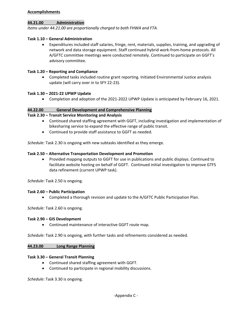### **Accomplishments**

### **44.21.00 Administration**

*Items under 44.21.00 are proportionally charged to both FHWA and FTA.* 

### **Task 1.10 – General Administration**

 Expenditures included staff salaries, fringe, rent, materials, supplies, training, and upgrading of network and data storage equipment. Staff continued hybrid work‐from‐home protocols. All A/GFTC committee meetings were conducted remotely. Continued to participate on GGFT's advisory committee.

### **Task 1.20 – Reporting and Compliance**

 Completed tasks included routine grant reporting. Initiated Environmental Justice analysis update (will carry over in to SFY 22‐23).

### **Task 1.30 – 2021‐22 UPWP Update**

Completion and adoption of the 2021‐2022 UPWP Update is anticipated by February 16, 2021.

### **44.22.00 General Development and Comprehensive Planning**

### **Task 2.30 – Transit Service Monitoring and Analysis**

- Continued shared staffing agreement with GGFT, including investigation and implementation of bikesharing service to expand the effective range of public transit.
- Continued to provide staff assistance to GGFT as needed.

*Schedule:* Task 2.30 is ongoing with new subtasks identified as they emerge.

### **Task 2.50 – Alternative Transportation Development and Promotion**

 Provided mapping outputs to GGFT for use in publications and public displays. Continued to facilitate website hosting on behalf of GGFT. Continued initial investigation to improve GTFS data refinement (current UPWP task).

*Schedule:* Task 2.50 is ongoing.

### **Task 2.60 – Public Participation**

Completed a thorough revision and update to the A/GFTC Public Participation Plan.

### *Schedule:* Task 2.60 is ongoing.

### **Task 2.90 – GIS Development**

Continued maintenance of interactive GGFT route map.

*Schedule:* Task 2.90 is ongoing, with further tasks and refinements considered as needed.

### **44.23.00 Long Range Planning**

### **Task 3.30 – General Transit Planning**

- Continued shared staffing agreement with GGFT.
- Continued to participate in regional mobility discussions.

*Schedule:* Task 3.30 is ongoing.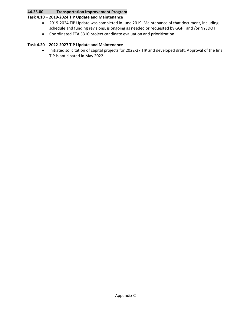### **44.25.00 Transportation Improvement Program**

### **Task 4.10 – 2019‐2024 TIP Update and Maintenance**

- 2019-2024 TIP Update was completed in June 2019. Maintenance of that document, including schedule and funding revisions, is ongoing as needed or requested by GGFT and /or NYSDOT.
- Coordinated FTA 5310 project candidate evaluation and prioritization.

### **Task 4.20 – 2022‐2027 TIP Update and Maintenance**

 Initiated solicitation of capital projects for 2022‐27 TIP and developed draft. Approval of the final TIP is anticipated in May 2022.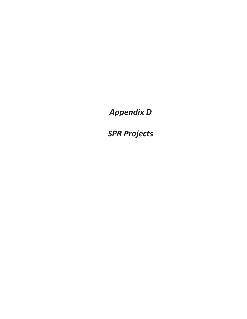**Appendix D** 

**SPR Projects**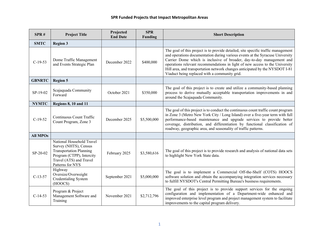| SPR#            | <b>Project Title</b>                                                                                                                                             | Projected<br><b>End Date</b> | <b>SPR</b><br><b>Funding</b> | <b>Short Description</b>                                                                                                                                                                                                                                                                                                                                                                                                                                     |
|-----------------|------------------------------------------------------------------------------------------------------------------------------------------------------------------|------------------------------|------------------------------|--------------------------------------------------------------------------------------------------------------------------------------------------------------------------------------------------------------------------------------------------------------------------------------------------------------------------------------------------------------------------------------------------------------------------------------------------------------|
| <b>SMTC</b>     | <b>Region 3</b>                                                                                                                                                  |                              |                              |                                                                                                                                                                                                                                                                                                                                                                                                                                                              |
| $C-19-53$       | Dome Traffic Management<br>and Events Strategic Plan                                                                                                             | December 2022                | \$400,000                    | The goal of this project is to provide detailed, site specific traffic management<br>and operations documentation during various events at the Syracuse University<br>Carrier Dome which is inclusive of broader, day-to-day management and<br>operations relevant recommendations in light of new access to the University<br>Hill area, and transportation network changes anticipated by the NYSDOT I-81<br>Viaduct being replaced with a community grid. |
| <b>GBNRTC</b>   | <b>Region 5</b>                                                                                                                                                  |                              |                              |                                                                                                                                                                                                                                                                                                                                                                                                                                                              |
| SP-19-02        | Scajaquada Community<br>Forward                                                                                                                                  | October 2021                 | \$350,000                    | The goal of this project is to create and utilize a community-based planning<br>process to derive mutually acceptable transportation improvements in and<br>around the Scajaquada Community.                                                                                                                                                                                                                                                                 |
| <b>NYMTC</b>    | <b>Regions 8, 10 and 11</b>                                                                                                                                      |                              |                              |                                                                                                                                                                                                                                                                                                                                                                                                                                                              |
| $C-19-52$       | Continuous Count Traffic<br>Count Program, Zone 3                                                                                                                | December 2025                | \$5,500,000                  | The goal of this project is to conduct the continuous count traffic count program<br>in Zone 3 (Metro New York City / Long Island) over a five-year term with full<br>performance-based maintenance and upgrade services to provide better<br>coverage, distribution, and differentiation by functional classification of<br>roadway, geographic area, and seasonality of traffic patterns.                                                                  |
| <b>All MPOs</b> |                                                                                                                                                                  |                              |                              |                                                                                                                                                                                                                                                                                                                                                                                                                                                              |
| SP-20-02        | National Household Travel<br>Survey (NHTS), Census<br><b>Transportation Planning</b><br>Program (CTPP), Intercity<br>Travel (ATS) and Travel<br>Patterns for NYS | February 2025                | \$3,580,616                  | The goal of this project is to provide research and analysis of national data sets<br>to highlight New York State data.                                                                                                                                                                                                                                                                                                                                      |
| $C-13-57$       | Highway<br>Oversize/Overweight<br>Credentialing System<br>(HOOCS)                                                                                                | September 2021               | \$5,000,000                  | The goal is to implement a Commercial Off-the-Shelf (COTS) HOOCS<br>software solution and obtain the accompanying integration services necessary<br>to fulfill NYSDOT's Central Permitting Bureau's business requirements.                                                                                                                                                                                                                                   |
| $C-14-53$       | Program & Project<br>Management Software and<br>Training                                                                                                         | November 2021                | \$2,712,796                  | The goal of this project is to provide support services for the ongoing<br>configuration and implementation of a Department-wide enhanced and<br>improved enterprise level program and project management system to facilitate<br>improvements to the capital program delivery.                                                                                                                                                                              |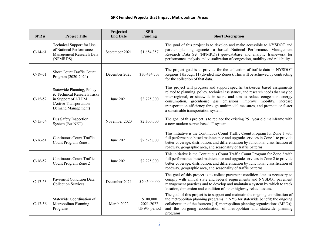### **SPR Funded Projects that Impact Metropolitan Areas**

| SPR#      | <b>Project Title</b>                                                                                                           | Projected<br><b>End Date</b> | <b>SPR</b><br><b>Funding</b>          | <b>Short Description</b>                                                                                                                                                                                                                                                                                                                                                                                                                     |
|-----------|--------------------------------------------------------------------------------------------------------------------------------|------------------------------|---------------------------------------|----------------------------------------------------------------------------------------------------------------------------------------------------------------------------------------------------------------------------------------------------------------------------------------------------------------------------------------------------------------------------------------------------------------------------------------------|
| $C-14-61$ | Technical Support for Use<br>of National Performance<br>Management Research Data<br>(NPMRDS)                                   | September 2021               | \$1,654,357                           | The goal of this project is to develop and make accessible to NYSDOT and<br>partner planning agencies a hosted National Performance Management<br>Research Data Set (NPMRDS) geo-database and analytic framework for<br>performance analysis and visualization of congestion, mobility and reliability.                                                                                                                                      |
| $C-19-51$ | <b>Short Count Traffic Count</b><br>Program (2020-2024)                                                                        | December 2025                | \$30,434,707                          | The project goal is to provide for the collection of traffic data in NYSDOT<br>Regions 1 through 11 (divided into Zones). This will be achieved by contracting<br>for the collection of that data.                                                                                                                                                                                                                                           |
| $C-15-52$ | Statewide Planning, Policy<br>& Technical Research Tasks<br>in Support of ATDM<br>(Active Transportation<br>Demand Management) | June 2021                    | \$3,725,000                           | This project will progress and support specific task-order based assignments<br>related to planning, policy, technical assistance, and research needs that may be<br>inter-regional, or statewide in scope and aim to reduce congestion, energy<br>consumption, greenhouse gas emissions, improve mobility, increase<br>transportation efficiency through multimodal measures, and promote or foster<br>a sustainable transportation system. |
| $C-15-54$ | Bus Safety Inspection<br>System (BusNET)                                                                                       | November 2020                | \$2,300,000                           | The goal of this project is to replace the existing $25+$ year old mainframe with<br>a new modern server-based IT system.                                                                                                                                                                                                                                                                                                                    |
| $C-16-51$ | Continuous Count Traffic<br>Count Program Zone 1                                                                               | June 2021                    | \$2,525,000                           | This initiative is the Continuous Count Traffic Count Program for Zone 1 with<br>full performance-based maintenance and upgrade services in Zone 1 to provide<br>better coverage, distribution, and differentiation by functional classification of<br>roadway, geographic area, and seasonality of traffic patterns.                                                                                                                        |
| $C-16-52$ | Continuous Count Traffic<br>Count Program Zone 2                                                                               | June 2021                    | \$2,225,000                           | This initiative is the Continuous Count Traffic Count Program for Zone 2 with<br>full performance-based maintenance and upgrade services in Zone 2 to provide<br>better coverage, distribution, and differentiation by functional classification of<br>roadway, geographic area, and seasonality of traffic patterns.                                                                                                                        |
| $C-17-53$ | <b>Pavement Condition Data</b><br><b>Collection Services</b>                                                                   | December 2024                | \$20,500,000                          | The goal of this project is to collect pavement condition data as necessary to<br>comply with annual state and federal requirements and NYSDOT pavement<br>management practices and to develop and maintain a system by which to track<br>location, dimension and condition of other highway related assets.                                                                                                                                 |
| $C-17-56$ | Statewide Coordination of<br>Metropolitan Planning<br>Programs                                                                 | March 2022                   | \$100,000<br>2021-2022<br>UPWP period | The goal of this project is to support and maintain the ongoing coordination of<br>the metropolitan planning programs in NYS for statewide benefit; the ongoing<br>collaboration of the fourteen (14) metropolitan planning organizations (MPOs);<br>and the on-going coordination of metropolitan and statewide planning<br>programs.                                                                                                       |